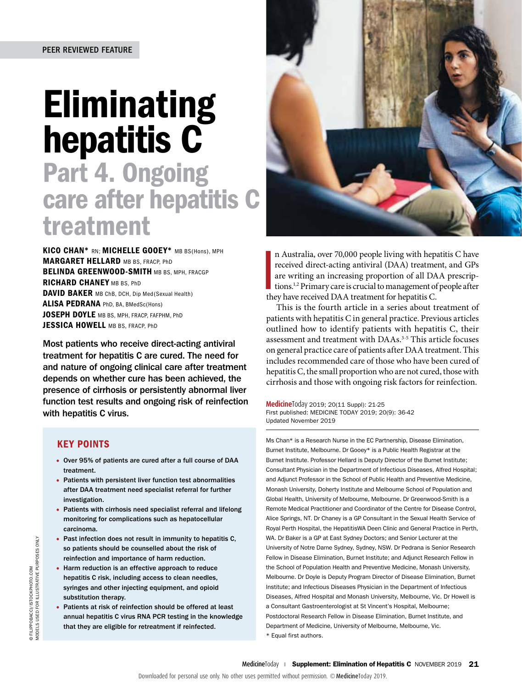# Eliminating hepatitis C

## Part 4. Ongoing care after hepatitis C treatment

KICO CHAN\* RN: MICHELLE GOOEY\* MB BS(Hons), MPH **MARGARET HELLARD MB BS, FRACP, PhD** BELINDA GREENWOOD-SMITH MB BS, MPH, FRACGP RICHARD CHANEY MB BS, PhD DAVID BAKER MB ChB, DCH, Dip Med(Sexual Health) ALISA PEDRANA PhD, BA, BMedSc(Hons) JOSEPH DOYLE MB BS, MPH, FRACP, FAFPHM, PhD JESSICA HOWELL MB BS. FRACP, PhD

Most patients who receive direct-acting antiviral treatment for hepatitis C are cured. The need for and nature of ongoing clinical care after treatment depends on whether cure has been achieved, the presence of cirrhosis or persistently abnormal liver function test results and ongoing risk of reinfection with hepatitis C virus.

### KEY POINTS

- Over 95% of patients are cured after a full course of DAA treatment.
- Patients with persistent liver function test abnormalities after DAA treatment need specialist referral for further investigation.
- Patients with cirrhosis need specialist referral and lifelong monitoring for complications such as hepatocellular carcinoma.
- Past infection does not result in immunity to hepatitis C, so patients should be counselled about the risk of reinfection and importance of harm reduction.
- Harm reduction is an effective approach to reduce hepatitis C risk, including access to clean needles, syringes and other injecting equipment, and opioid substitution therapy. Association of the studies are the studies of the studies of the studies of the studies of the studies of the studies of the studies of the studies of the studies of the studies of the studies of the studies of the studi
	- Patients at risk of reinfection should be offered at least annual hepatitis C virus RNA PCR testing in the knowledge that they are eligible for retreatment if reinfected.



n Australia, over 70,000 people living with hepa<br>received direct-acting antiviral (DAA) treatment are writing an increasing proportion of all DA<br>tions.<sup>1,2</sup> Primary care is crucial to management of<br>they have received DAA t n Australia, over 70,000 people living with hepatitis C have received direct-acting antiviral (DAA) treatment, and GPs are writing an increasing proportion of all DAA prescriptions.1,2 Primary care is crucial to management of people after

This is the fourth article in a series about treatment of patients with hepatitis C in general practice. Previous articles outlined how to identify patients with hepatitis C, their assessment and treatment with DAAs.3-5 This article focuses on general practice care of patients after DAA treatment. This includes recommended care of those who have been cured of hepatitis C, the small proportion who are not cured, those with cirrhosis and those with ongoing risk factors for reinfection.

**Medicine**Today 2019; 20(11 Suppl): 21-25 First published: MEDICINE TODAY 2019; 20(9): 36-42 Updated November 2019

Ms Chan\* is a Research Nurse in the EC Partnership, Disease Elimination, Burnet Institute, Melbourne. Dr Gooey\* is a Public Health Registrar at the Burnet Institute. Professor Hellard is Deputy Director of the Burnet Institute; Consultant Physician in the Department of Infectious Diseases, Alfred Hospital; and Adjunct Professor in the School of Public Health and Preventive Medicine, Monash University, Doherty Institute and Melbourne School of Population and Global Health, University of Melbourne, Melbourne. Dr Greenwood-Smith is a Remote Medical Practitioner and Coordinator of the Centre for Disease Control, Alice Springs, NT. Dr Chaney is a GP Consultant in the Sexual Health Service of Royal Perth Hospital, the HepatitisWA Deen Clinic and General Practice in Perth, WA. Dr Baker is a GP at East Sydney Doctors; and Senior Lecturer at the University of Notre Dame Sydney, Sydney, NSW. Dr Pedrana is Senior Research Fellow in Disease Elimination, Burnet Institute; and Adjunct Research Fellow in the School of Population Health and Preventive Medicine, Monash University, Melbourne. Dr Doyle is Deputy Program Director of Disease Elimination, Burnet Institute; and Infectious Diseases Physician in the Department of Infectious Diseases, Alfred Hospital and Monash University, Melbourne, Vic. Dr Howell is a Consultant Gastroenterologist at St Vincent's Hospital, Melbourne; Postdoctoral Research Fellow in Disease Elimination, Burnet Institute, and Department of Medicine, University of Melbourne, Melbourne, Vic.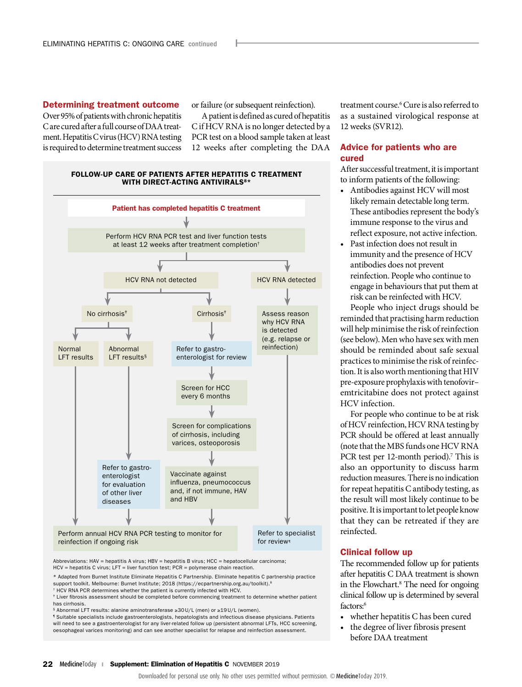Determining treatment outcome Over 95% of patients with chronic hepatitis C are cured after a full course of DAA treatment. Hepatitis C virus (HCV) RNA testing is required to determine treatment success or failure (or subsequent reinfection).

A patient is defined as cured of hepatitis C if HCV RNA is no longer detected by a PCR test on a blood sample taken at least 12 weeks after completing the DAA

#### FOLLOW-UP CARE OF PATIENTS AFTER HEPATITIS C TREATMENT WITH DIRECT-ACTING ANTIVIRALS<sup>8\*</sup>



Abbreviations: HAV = hepatitis A virus; HBV = hepatitis B virus; HCC = hepatocellular carcinoma; HCV = hepatitis C virus; LFT = liver function test; PCR = polymerase chain reaction.

\* Adapted from Burnet Institute Eliminate Hepatitis C Partnership. Eliminate hepatitis C partnership practice support toolkit. Melbourne: Burnet Institute; 2018 [\(https://ecpartnership.org.au/toolkit\)](https://ecpartnership.org.au/toolkit).<sup>8</sup>

† HCV RNA PCR determines whether the patient is currently infected with HCV.

‡ Liver fibrosis assessment should be completed before commencing treatment to determine whether patient has cirrhosis.

§ Abnormal LFT results: alanine aminotransferase ≥30U/L (men) or ≥19U/L (women).

¶ Suitable specialists include gastroenterologists, hepatologists and infectious disease physicians. Patients will need to see a gastroenterologist for any liver-related follow up (persistent abnormal LFTs, HCC screening, oesophageal varices monitoring) and can see another specialist for relapse and reinfection assessment.

treatment course.6 Cure is also referred to as a sustained virological response at 12 weeks (SVR12).

#### Advice for patients who are cured

After successful treatment, it is important to inform patients of the following:

- Antibodies against HCV will most likely remain detectable long term. These antibodies represent the body's immune response to the virus and reflect exposure, not active infection.
- Past infection does not result in immunity and the presence of HCV antibodies does not prevent reinfection. People who continue to engage in behaviours that put them at risk can be reinfected with HCV.

People who inject drugs should be reminded that practising harm reduction will help minimise the risk of reinfection (see below). Men who have sex with men should be reminded about safe sexual practices to minimise the risk of reinfection. It is also worth mentioning that HIV pre-exposure prophylaxis with tenofovir– emtricitabine does not protect against HCV infection.

For people who continue to be at risk of HCV reinfection, HCV RNA testing by PCR should be offered at least annually (note that the MBS funds one HCV RNA PCR test per 12-month period).<sup>7</sup> This is also an opportunity to discuss harm reduction measures. There is no indication for repeat hepatitis C antibody testing, as the result will most likely continue to be positive. It is important to let people know that they can be retreated if they are reinfected.

#### Clinical follow up

The recommended follow up for patients after hepatitis C DAA treatment is shown in the Flowchart.<sup>8</sup> The need for ongoing clinical follow up is determined by several factors:<sup>6</sup>

- whether hepatitis C has been cured
- the degree of liver fibrosis present before DAA treatment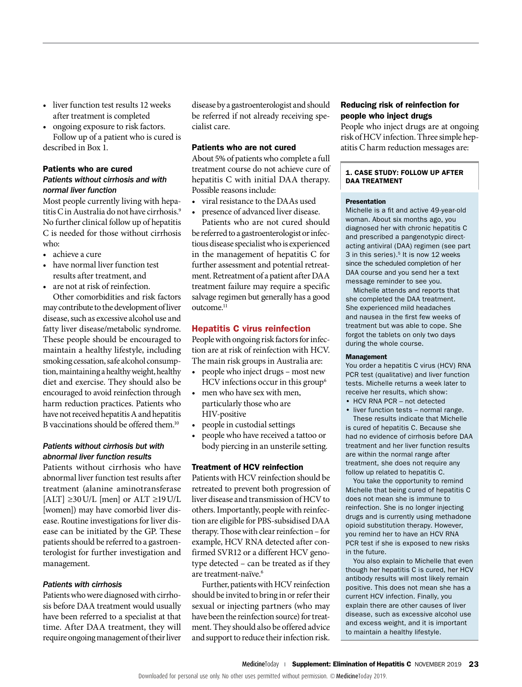- liver function test results 12 weeks after treatment is completed
- ongoing exposure to risk factors. Follow up of a patient who is cured is described in Box 1.

#### Patients who are cured

#### *Patients without cirrhosis and with normal liver function*

Most people currently living with hepatitis C in Australia do not have cirrhosis.<sup>9</sup> No further clinical follow up of hepatitis C is needed for those without cirrhosis who:

- achieve a cure
- have normal liver function test results after treatment, and
- are not at risk of reinfection.

Other comorbidities and risk factors may contribute to the development of liver disease, such as excessive alcohol use and fatty liver disease/metabolic syndrome. These people should be encouraged to maintain a healthy lifestyle, including smoking cessation, safe alcohol consumption, maintaining a healthy weight, healthy diet and exercise. They should also be encouraged to avoid reinfection through harm reduction practices. Patients who have not received hepatitis A and hepatitis B vaccinations should be offered them.<sup>10</sup>

#### *Patients without cirrhosis but with abnormal liver function results*

Patients without cirrhosis who have abnormal liver function test results after treatment (alanine aminotransferase  $[ALT] \geq 30$  U/L  $[men]$  or  $ALT \geq 19$  U/L [women]) may have comorbid liver disease. Routine investigations for liver disease can be initiated by the GP. These patients should be referred to a gastroenterologist for further investigation and management.

#### *Patients with cirrhosis*

Patients who were diagnosed with cirrhosis before DAA treatment would usually have been referred to a specialist at that time. After DAA treatment, they will require ongoing management of their liver

disease by a gastroenterologist and should be referred if not already receiving specialist care.

#### Patients who are not cured

About 5% of patients who complete a full treatment course do not achieve cure of hepatitis C with initial DAA therapy. Possible reasons include:

- viral resistance to the DAAs used
- presence of advanced liver disease.

Patients who are not cured should be referred to a gastroenterologist or infectious disease specialist who is experienced in the management of hepatitis C for further assessment and potential retreatment. Retreatment of a patient after DAA treatment failure may require a specific salvage regimen but generally has a good outcome.<sup>11</sup>

#### Hepatitis C virus reinfection

People with ongoing risk factors for infection are at risk of reinfection with HCV. The main risk groups in Australia are:

- people who inject drugs most new HCV infections occur in this group<sup>6</sup>
- men who have sex with men, particularly those who are HIV-positive
- people in custodial settings
- people who have received a tattoo or body piercing in an unsterile setting.

#### Treatment of HCV reinfection

Patients with HCV reinfection should be retreated to prevent both progression of liver disease and transmission of HCV to others. Importantly, people with reinfection are eligible for PBS-subsidised DAA therapy. Those with clear reinfection – for example, HCV RNA detected after confirmed SVR12 or a different HCV genotype detected – can be treated as if they are treatment-naïve.6

Further, patients with HCV reinfection should be invited to bring in or refer their sexual or injecting partners (who may have been the reinfection source) for treatment. They should also be offered advice and support to reduce their infection risk.

#### Reducing risk of reinfection for people who inject drugs

People who inject drugs are at ongoing risk of HCV infection. Three simple hepatitis C harm reduction messages are:

#### 1. CASE STUDY: FOLLOW UP AFTER DAA TREATMENT

#### Presentation

Michelle is a fit and active 49-year-old woman. About six months ago, you diagnosed her with chronic hepatitis C and prescribed a pangenotypic directacting antiviral (DAA) regimen (see part 3 in this series).<sup>5</sup> It is now 12 weeks since the scheduled completion of her DAA course and you send her a text message reminder to see you.

Michelle attends and reports that she completed the DAA treatment. She experienced mild headaches and nausea in the first few weeks of treatment but was able to cope. She forgot the tablets on only two days during the whole course.

#### Management

You order a hepatitis C virus (HCV) RNA PCR test (qualitative) and liver function tests. Michelle returns a week later to receive her results, which show:

- HCV RNA PCR not detected
- liver function tests normal range. These results indicate that Michelle

is cured of hepatitis C. Because she had no evidence of cirrhosis before DAA treatment and her liver function results are within the normal range after treatment, she does not require any follow up related to hepatitis C.

You take the opportunity to remind Michelle that being cured of hepatitis C does not mean she is immune to reinfection. She is no longer injecting drugs and is currently using methadone opioid substitution therapy. However, you remind her to have an HCV RNA PCR test if she is exposed to new risks in the future.

You also explain to Michelle that even though her hepatitis C is cured, her HCV antibody results will most likely remain positive. This does not mean she has a current HCV infection. Finally, you explain there are other causes of liver disease, such as excessive alcohol use and excess weight, and it is important to maintain a healthy lifestyle.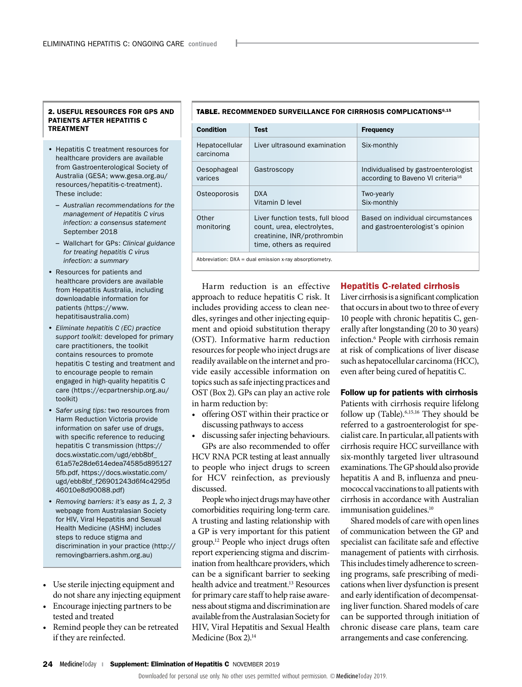#### 2. USEFUL RESOURCES FOR GPS AND PATIENTS AFTER HEPATITIS C TREATMENT

- Hepatitis C treatment resources for healthcare providers are available from Gastroenterological Society of Australia (GESA; [www.gesa.org.au/](https://www.gesa.org.au/resources/hepatitis-c-treatment) [resources/hepatitis-c-treatment\)](https://www.gesa.org.au/resources/hepatitis-c-treatment). These include:
	- *Australian recommendations for the management of Hepatitis C virus infection: a consensus statement*  September 2018
	- Wallchart for GPs: *Clinical guidance for treating hepatitis C virus infection: a summary*
- Resources for patients and healthcare providers are available from Hepatitis Australia, including downloadable information for patients (https://www. hepatitisaustralia.com)
- *Eliminate hepatitis C (EC) practice support toolkit:* developed for primary care practitioners, the toolkit contains resources to promote hepatitis C testing and treatment and to encourage people to remain engaged in high-quality hepatitis C care ([https://ecpartnership.org.au/](https://ecpartnership.org.au/toolkit) [toolkit\)](https://ecpartnership.org.au/toolkit)
- *Safer using tips:* two resources from Harm Reduction Victoria provide information on safer use of drugs, with specific reference to reducing hepatitis C transmission [\(https://](https://docs.wixstatic.com/ugd/ebb8bf_61a57e28de614edea74585d8951275fb.pdf) [docs.wixstatic.com/ugd/ebb8bf\\_](https://docs.wixstatic.com/ugd/ebb8bf_61a57e28de614edea74585d8951275fb.pdf) [61a57e28de614edea74585d895127](https://docs.wixstatic.com/ugd/ebb8bf_61a57e28de614edea74585d8951275fb.pdf)  5fb.pdf, [https://docs.wixstatic.com/](https://de4e0707-9881-41c5-b4b5-79de5c5c6366.filesusr.com/ugd/ebb8bf_f26901243d6f4c4295d46010e8d90088.pdf) [ugd/ebb8bf\\_f26901243d6f4c4295d](https://de4e0707-9881-41c5-b4b5-79de5c5c6366.filesusr.com/ugd/ebb8bf_f26901243d6f4c4295d46010e8d90088.pdf) [46010e8d90088.pdf\)](https://de4e0707-9881-41c5-b4b5-79de5c5c6366.filesusr.com/ugd/ebb8bf_f26901243d6f4c4295d46010e8d90088.pdf)
- *Removing barriers: it's easy as 1, 2, 3*  webpage from Australasian Society for HIV, Viral Hepatitis and Sexual Health Medicine (ASHM) includes steps to reduce stigma and discrimination in your practice (http:// removingbarriers.ashm.org.au)
- Use sterile injecting equipment and do not share any injecting equipment
- Encourage injecting partners to be tested and treated
- Remind people they can be retreated if they are reinfected.

#### Condition Test Frequency Hepatocellular carcinoma Liver ultrasound examination  $\vert$  Six-monthly Oesophageal varices Gastroscopy **Individualised by gastroenterologist** according to Baveno VI criteria<sup>16</sup> Osteoporosis DXA Vitamin D level Two-yearly Six-monthly **Other** monitoring Liver function tests, full blood count, urea, electrolytes, creatinine, INR/prothrombin Based on individual circumstances and gastroenterologist's opinion

#### TABLE. RECOMMENDED SURVEILLANCE FOR CIRRHOSIS COMPLICATIONS6,15

Abbreviation: DXA = dual emission x-ray absorptiometry.

time, others as required

Harm reduction is an effective approach to reduce hepatitis C risk. It includes providing access to clean needles, syringes and other injecting equipment and opioid substitution therapy (OST). Informative harm reduction resources for people who inject drugs are readily available on the internet and provide easily accessible information on topics such as safe injecting practices and OST (Box 2). GPs can play an active role in harm reduction by:

- offering OST within their practice or discussing pathways to access
- discussing safer injecting behaviours. GPs are also recommended to offer

HCV RNA PCR testing at least annually to people who inject drugs to screen for HCV reinfection, as previously discussed.

People who inject drugs may have other comorbidities requiring long-term care. A trusting and lasting relationship with a GP is very important for this patient group.12 People who inject drugs often report experiencing stigma and discrimination from healthcare providers, which can be a significant barrier to seeking health advice and treatment.<sup>13</sup> Resources for primary care staff to help raise awareness about stigma and discrimination are available from the Australasian Society for HIV, Viral Hepatitis and Sexual Health Medicine (Box 2).<sup>14</sup>

#### Hepatitis C-related cirrhosis

Liver cirrhosis is a significant complication that occurs in about two to three of every 10 people with chronic hepatitis C, generally after longstanding (20 to 30 years) infection.6 People with cirrhosis remain at risk of complications of liver disease such as hepatocellular carcinoma (HCC), even after being cured of hepatitis C.

#### Follow up for patients with cirrhosis

Patients with cirrhosis require lifelong follow up (Table).6,15,16 They should be referred to a gastroenterologist for specialist care. In particular, all patients with cirrhosis require HCC surveillance with six-monthly targeted liver ultrasound examinations. The GP should also provide hepatitis A and B, influenza and pneumococcal vaccinations to all patients with cirrhosis in accordance with Australian immunisation guidelines.<sup>10</sup>

Shared models of care with open lines of communication between the GP and specialist can facilitate safe and effective management of patients with cirrhosis. This includes timely adherence to screening programs, safe prescribing of medications when liver dysfunction is present and early identification of decompensating liver function. Shared models of care can be supported through initiation of chronic disease care plans, team care arrangements and case conferencing.